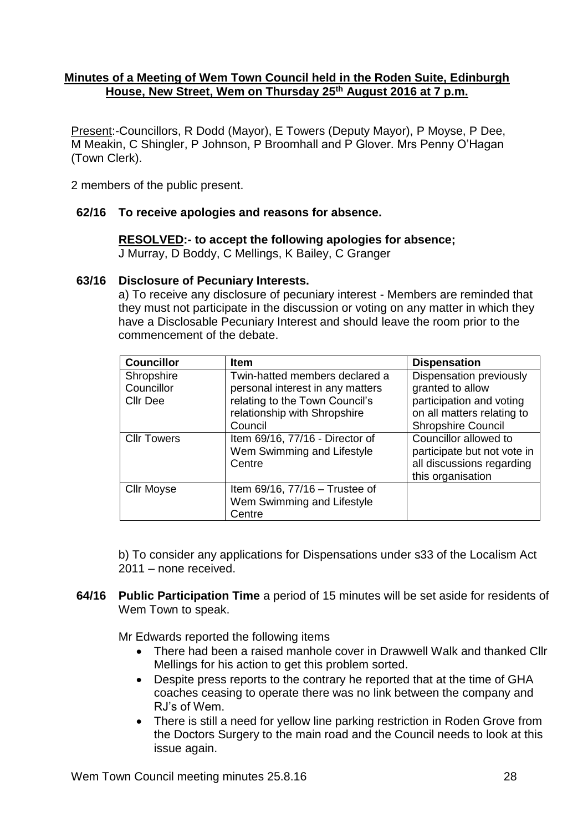### **Minutes of a Meeting of Wem Town Council held in the Roden Suite, Edinburgh House, New Street, Wem on Thursday 25th August 2016 at 7 p.m.**

Present:-Councillors, R Dodd (Mayor), E Towers (Deputy Mayor), P Moyse, P Dee, M Meakin, C Shingler, P Johnson, P Broomhall and P Glover. Mrs Penny O'Hagan (Town Clerk).

2 members of the public present.

## **62/16 To receive apologies and reasons for absence.**

### **RESOLVED:- to accept the following apologies for absence;**

J Murray, D Boddy, C Mellings, K Bailey, C Granger

### **63/16 Disclosure of Pecuniary Interests.**

a) To receive any disclosure of pecuniary interest - Members are reminded that they must not participate in the discussion or voting on any matter in which they have a Disclosable Pecuniary Interest and should leave the room prior to the commencement of the debate.

| <b>Councillor</b>                           | <b>Item</b>                                                                                                                                     | <b>Dispensation</b>                                                                                                                |
|---------------------------------------------|-------------------------------------------------------------------------------------------------------------------------------------------------|------------------------------------------------------------------------------------------------------------------------------------|
| Shropshire<br>Councillor<br><b>Cllr Dee</b> | Twin-hatted members declared a<br>personal interest in any matters<br>relating to the Town Council's<br>relationship with Shropshire<br>Council | Dispensation previously<br>granted to allow<br>participation and voting<br>on all matters relating to<br><b>Shropshire Council</b> |
| <b>Cllr Towers</b>                          | Item 69/16, 77/16 - Director of<br>Wem Swimming and Lifestyle<br>Centre                                                                         | Councillor allowed to<br>participate but not vote in<br>all discussions regarding<br>this organisation                             |
| <b>Cllr Moyse</b>                           | Item $69/16$ , $77/16$ - Trustee of<br>Wem Swimming and Lifestyle<br>Centre                                                                     |                                                                                                                                    |

b) To consider any applications for Dispensations under s33 of the Localism Act 2011 – none received.

**64/16 Public Participation Time** a period of 15 minutes will be set aside for residents of Wem Town to speak.

Mr Edwards reported the following items

- There had been a raised manhole cover in Drawwell Walk and thanked Cllr Mellings for his action to get this problem sorted.
- Despite press reports to the contrary he reported that at the time of GHA coaches ceasing to operate there was no link between the company and RJ's of Wem.
- There is still a need for yellow line parking restriction in Roden Grove from the Doctors Surgery to the main road and the Council needs to look at this issue again.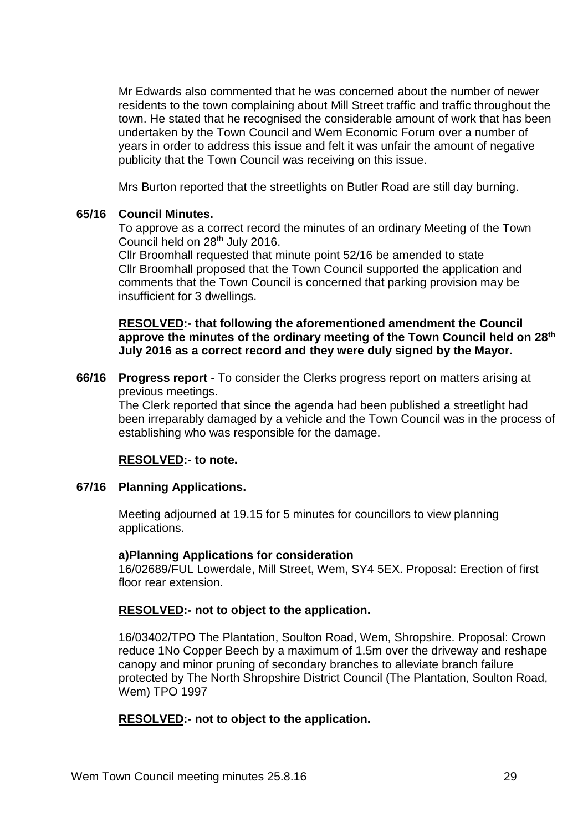Mr Edwards also commented that he was concerned about the number of newer residents to the town complaining about Mill Street traffic and traffic throughout the town. He stated that he recognised the considerable amount of work that has been undertaken by the Town Council and Wem Economic Forum over a number of years in order to address this issue and felt it was unfair the amount of negative publicity that the Town Council was receiving on this issue.

Mrs Burton reported that the streetlights on Butler Road are still day burning.

### **65/16 Council Minutes.**

To approve as a correct record the minutes of an ordinary Meeting of the Town Council held on 28th July 2016.

Cllr Broomhall requested that minute point 52/16 be amended to state Cllr Broomhall proposed that the Town Council supported the application and comments that the Town Council is concerned that parking provision may be insufficient for 3 dwellings.

**RESOLVED:- that following the aforementioned amendment the Council approve the minutes of the ordinary meeting of the Town Council held on 28th July 2016 as a correct record and they were duly signed by the Mayor.**

**66/16 Progress report** - To consider the Clerks progress report on matters arising at previous meetings.

The Clerk reported that since the agenda had been published a streetlight had been irreparably damaged by a vehicle and the Town Council was in the process of establishing who was responsible for the damage.

### **RESOLVED:- to note.**

### **67/16 Planning Applications.**

Meeting adjourned at 19.15 for 5 minutes for councillors to view planning applications.

### **a)Planning Applications for consideration**

16/02689/FUL Lowerdale, Mill Street, Wem, SY4 5EX. Proposal: Erection of first floor rear extension.

### **RESOLVED:- not to object to the application.**

16/03402/TPO The Plantation, Soulton Road, Wem, Shropshire. Proposal: Crown reduce 1No Copper Beech by a maximum of 1.5m over the driveway and reshape canopy and minor pruning of secondary branches to alleviate branch failure protected by The North Shropshire District Council (The Plantation, Soulton Road, Wem) TPO 1997

### **RESOLVED:- not to object to the application.**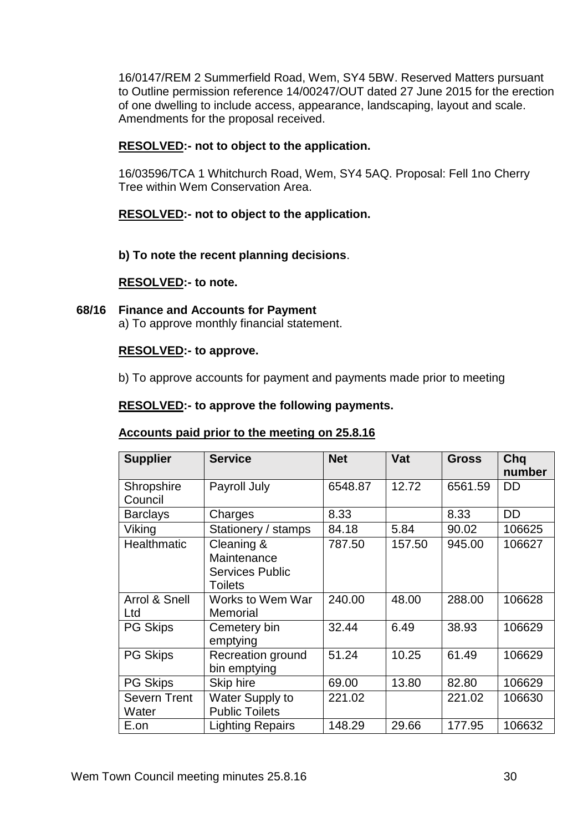16/0147/REM 2 Summerfield Road, Wem, SY4 5BW. Reserved Matters pursuant to Outline permission reference 14/00247/OUT dated 27 June 2015 for the erection of one dwelling to include access, appearance, landscaping, layout and scale. Amendments for the proposal received.

# **RESOLVED:- not to object to the application.**

16/03596/TCA 1 Whitchurch Road, Wem, SY4 5AQ. Proposal: Fell 1no Cherry Tree within Wem Conservation Area.

# **RESOLVED:- not to object to the application.**

**b) To note the recent planning decisions**.

### **RESOLVED:- to note.**

**68/16 Finance and Accounts for Payment**

a) To approve monthly financial statement.

# **RESOLVED:- to approve.**

b) To approve accounts for payment and payments made prior to meeting

## **RESOLVED:- to approve the following payments.**

### **Accounts paid prior to the meeting on 25.8.16**

| <b>Supplier</b>              | <b>Service</b>                                                        | <b>Net</b> | Vat    | <b>Gross</b> | Chq<br>number |
|------------------------------|-----------------------------------------------------------------------|------------|--------|--------------|---------------|
| Shropshire<br>Council        | Payroll July                                                          | 6548.87    | 12.72  | 6561.59      | <b>DD</b>     |
| <b>Barclays</b>              | Charges                                                               | 8.33       |        | 8.33         | <b>DD</b>     |
| Viking                       | Stationery / stamps                                                   | 84.18      | 5.84   | 90.02        | 106625        |
| <b>Healthmatic</b>           | Cleaning &<br>Maintenance<br><b>Services Public</b><br><b>Toilets</b> | 787.50     | 157.50 | 945.00       | 106627        |
| Arrol & Snell<br>Ltd         | Works to Wem War<br>Memorial                                          | 240.00     | 48.00  | 288.00       | 106628        |
| <b>PG Skips</b>              | Cemetery bin<br>emptying                                              | 32.44      | 6.49   | 38.93        | 106629        |
| <b>PG Skips</b>              | <b>Recreation ground</b><br>bin emptying                              | 51.24      | 10.25  | 61.49        | 106629        |
| <b>PG Skips</b>              | Skip hire                                                             | 69.00      | 13.80  | 82.80        | 106629        |
| <b>Severn Trent</b><br>Water | <b>Water Supply to</b><br><b>Public Toilets</b>                       | 221.02     |        | 221.02       | 106630        |
| E.on                         | <b>Lighting Repairs</b>                                               | 148.29     | 29.66  | 177.95       | 106632        |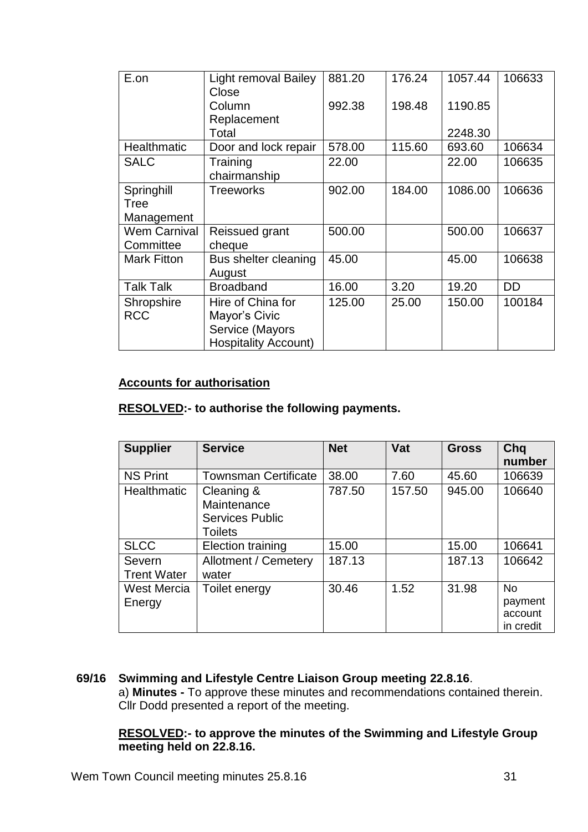| E.on                | <b>Light removal Bailey</b><br>Close | 881.20 | 176.24 | 1057.44 | 106633    |
|---------------------|--------------------------------------|--------|--------|---------|-----------|
|                     | Column                               | 992.38 | 198.48 | 1190.85 |           |
|                     | Replacement<br>Total                 |        |        | 2248.30 |           |
|                     |                                      |        |        |         |           |
| Healthmatic         | Door and lock repair                 | 578.00 | 115.60 | 693.60  | 106634    |
| <b>SALC</b>         | Training                             | 22.00  |        | 22.00   | 106635    |
|                     | chairmanship                         |        |        |         |           |
| Springhill          | <b>Treeworks</b>                     | 902.00 | 184.00 | 1086.00 | 106636    |
| Tree                |                                      |        |        |         |           |
| Management          |                                      |        |        |         |           |
| <b>Wem Carnival</b> | Reissued grant                       | 500.00 |        | 500.00  | 106637    |
| Committee           | cheque                               |        |        |         |           |
| <b>Mark Fitton</b>  | Bus shelter cleaning                 | 45.00  |        | 45.00   | 106638    |
|                     | August                               |        |        |         |           |
| <b>Talk Talk</b>    | <b>Broadband</b>                     | 16.00  | 3.20   | 19.20   | <b>DD</b> |
| Shropshire          | Hire of China for                    | 125.00 | 25.00  | 150.00  | 100184    |
| <b>RCC</b>          | Mayor's Civic                        |        |        |         |           |
|                     | Service (Mayors                      |        |        |         |           |
|                     | <b>Hospitality Account)</b>          |        |        |         |           |

## **Accounts for authorisation**

# **RESOLVED:- to authorise the following payments.**

| <b>Supplier</b>              | <b>Service</b>                                                        | <b>Net</b> | Vat    | <b>Gross</b> | Chq<br>number                                |
|------------------------------|-----------------------------------------------------------------------|------------|--------|--------------|----------------------------------------------|
| <b>NS Print</b>              | <b>Townsman Certificate</b>                                           | 38.00      | 7.60   | 45.60        | 106639                                       |
| Healthmatic                  | Cleaning &<br>Maintenance<br><b>Services Public</b><br><b>Toilets</b> | 787.50     | 157.50 | 945.00       | 106640                                       |
| <b>SLCC</b>                  | Election training                                                     | 15.00      |        | 15.00        | 106641                                       |
| Severn<br><b>Trent Water</b> | <b>Allotment / Cemetery</b><br>water                                  | 187.13     |        | 187.13       | 106642                                       |
| West Mercia<br>Energy        | Toilet energy                                                         | 30.46      | 1.52   | 31.98        | <b>No</b><br>payment<br>account<br>in credit |

# **69/16 Swimming and Lifestyle Centre Liaison Group meeting 22.8.16**. a) **Minutes -** To approve these minutes and recommendations contained therein. Cllr Dodd presented a report of the meeting.

## **RESOLVED:- to approve the minutes of the Swimming and Lifestyle Group meeting held on 22.8.16.**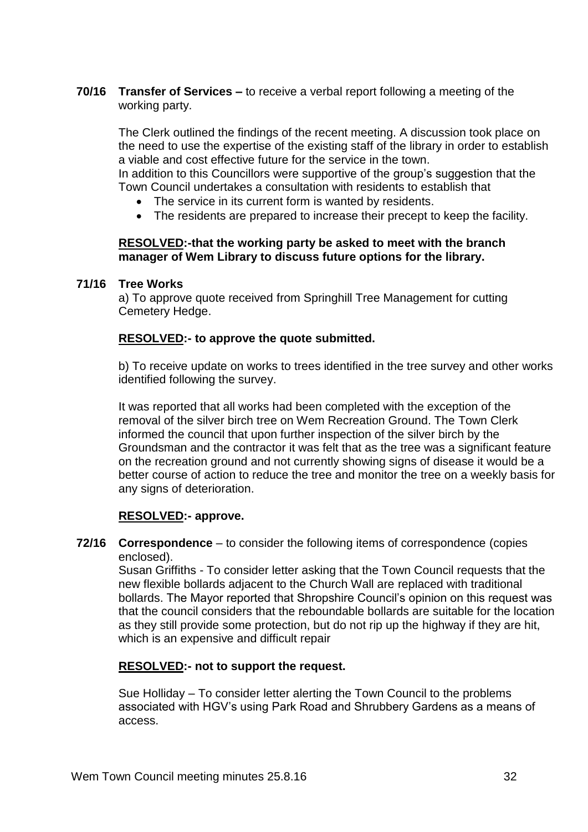**70/16 Transfer of Services –** to receive a verbal report following a meeting of the working party.

The Clerk outlined the findings of the recent meeting. A discussion took place on the need to use the expertise of the existing staff of the library in order to establish a viable and cost effective future for the service in the town.

In addition to this Councillors were supportive of the group's suggestion that the Town Council undertakes a consultation with residents to establish that

- The service in its current form is wanted by residents.
- The residents are prepared to increase their precept to keep the facility.

## **RESOLVED:-that the working party be asked to meet with the branch manager of Wem Library to discuss future options for the library.**

## **71/16 Tree Works**

a) To approve quote received from Springhill Tree Management for cutting Cemetery Hedge.

# **RESOLVED:- to approve the quote submitted.**

b) To receive update on works to trees identified in the tree survey and other works identified following the survey.

It was reported that all works had been completed with the exception of the removal of the silver birch tree on Wem Recreation Ground. The Town Clerk informed the council that upon further inspection of the silver birch by the Groundsman and the contractor it was felt that as the tree was a significant feature on the recreation ground and not currently showing signs of disease it would be a better course of action to reduce the tree and monitor the tree on a weekly basis for any signs of deterioration.

### **RESOLVED:- approve.**

**72/16 Correspondence** – to consider the following items of correspondence (copies enclosed).

Susan Griffiths - To consider letter asking that the Town Council requests that the new flexible bollards adjacent to the Church Wall are replaced with traditional bollards. The Mayor reported that Shropshire Council's opinion on this request was that the council considers that the reboundable bollards are suitable for the location as they still provide some protection, but do not rip up the highway if they are hit, which is an expensive and difficult repair

# **RESOLVED:- not to support the request.**

Sue Holliday – To consider letter alerting the Town Council to the problems associated with HGV's using Park Road and Shrubbery Gardens as a means of access.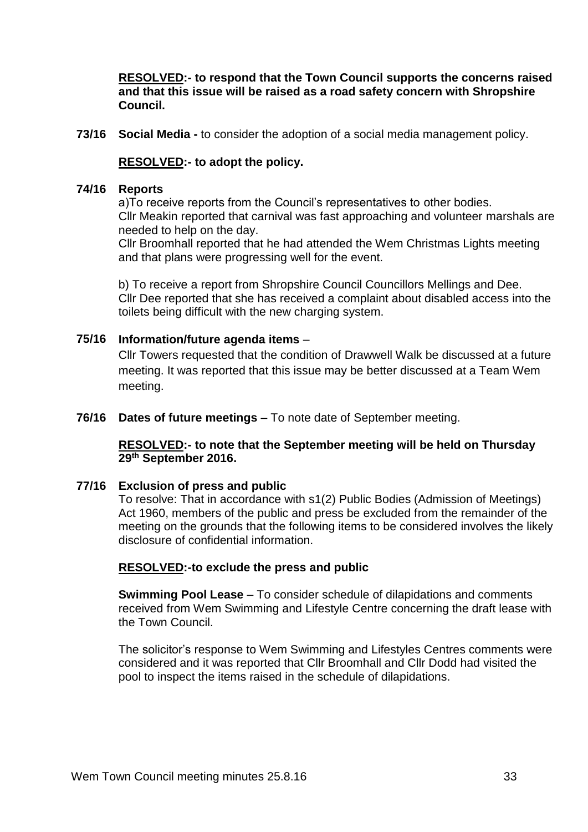**RESOLVED:- to respond that the Town Council supports the concerns raised and that this issue will be raised as a road safety concern with Shropshire Council.**

**73/16 Social Media -** to consider the adoption of a social media management policy.

### **RESOLVED:- to adopt the policy.**

### **74/16 Reports**

a)To receive reports from the Council's representatives to other bodies. Cllr Meakin reported that carnival was fast approaching and volunteer marshals are needed to help on the day.

Cllr Broomhall reported that he had attended the Wem Christmas Lights meeting and that plans were progressing well for the event.

b) To receive a report from Shropshire Council Councillors Mellings and Dee. Cllr Dee reported that she has received a complaint about disabled access into the toilets being difficult with the new charging system.

### **75/16 Information/future agenda items** –

Cllr Towers requested that the condition of Drawwell Walk be discussed at a future meeting. It was reported that this issue may be better discussed at a Team Wem meeting.

**76/16 Dates of future meetings** – To note date of September meeting.

### **RESOLVED:- to note that the September meeting will be held on Thursday 29th September 2016.**

### **77/16 Exclusion of press and public**

To resolve: That in accordance with s1(2) Public Bodies (Admission of Meetings) Act 1960, members of the public and press be excluded from the remainder of the meeting on the grounds that the following items to be considered involves the likely disclosure of confidential information.

### **RESOLVED:-to exclude the press and public**

**Swimming Pool Lease** – To consider schedule of dilapidations and comments received from Wem Swimming and Lifestyle Centre concerning the draft lease with the Town Council.

The solicitor's response to Wem Swimming and Lifestyles Centres comments were considered and it was reported that Cllr Broomhall and Cllr Dodd had visited the pool to inspect the items raised in the schedule of dilapidations.